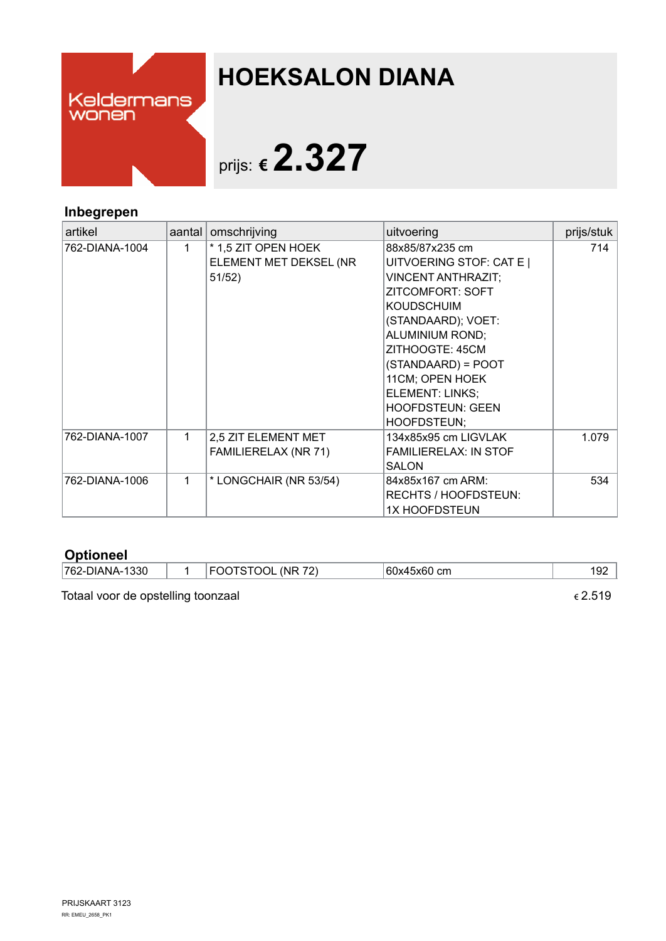

## **HOEKSALON DIANA**

# prijs: **€2.327**

### **Inbegrepen**

| artikel        | aantal | omschrijving           | uitvoering                   | prijs/stuk |
|----------------|--------|------------------------|------------------------------|------------|
| 762-DIANA-1004 | 1.     | * 1,5 ZIT OPEN HOEK    | 88x85/87x235 cm              | 714        |
|                |        | ELEMENT MET DEKSEL (NR | UITVOERING STOF: CAT E       |            |
|                |        | 51/52)                 | <b>VINCENT ANTHRAZIT;</b>    |            |
|                |        |                        | <b>ZITCOMFORT: SOFT</b>      |            |
|                |        |                        | <b>KOUDSCHUIM</b>            |            |
|                |        |                        | (STANDAARD); VOET:           |            |
|                |        |                        | <b>ALUMINIUM ROND;</b>       |            |
|                |        |                        | ZITHOOGTE: 45CM              |            |
|                |        |                        | (STANDAARD) = POOT           |            |
|                |        |                        | 11CM; OPEN HOEK              |            |
|                |        |                        | ELEMENT: LINKS;              |            |
|                |        |                        | <b>HOOFDSTEUN: GEEN</b>      |            |
|                |        |                        | HOOFDSTEUN;                  |            |
| 762-DIANA-1007 | 1      | 2,5 ZIT ELEMENT MET    | 134x85x95 cm LIGVLAK         | 1.079      |
|                |        | FAMILIERELAX (NR 71)   | <b>FAMILIERELAX: IN STOF</b> |            |
|                |        |                        | <b>SALON</b>                 |            |
| 762-DIANA-1006 | 1      | * LONGCHAIR (NR 53/54) | 84x85x167 cm ARM:            | 534        |
|                |        |                        | RECHTS / HOOFDSTEUN:         |            |
|                |        |                        | <b>1X HOOFDSTEUN</b>         |            |

### **Optioneel**

| ՝762-ւ<br>1330<br>ם מ | 70<br>'NR<br>ונ<br>м<br>10<br>- | 60x4<br>сm<br>. | $\sim$<br>192 |
|-----------------------|---------------------------------|-----------------|---------------|
|                       |                                 |                 |               |

Totaal voor de opstelling toonzaal  $\epsilon$  2.519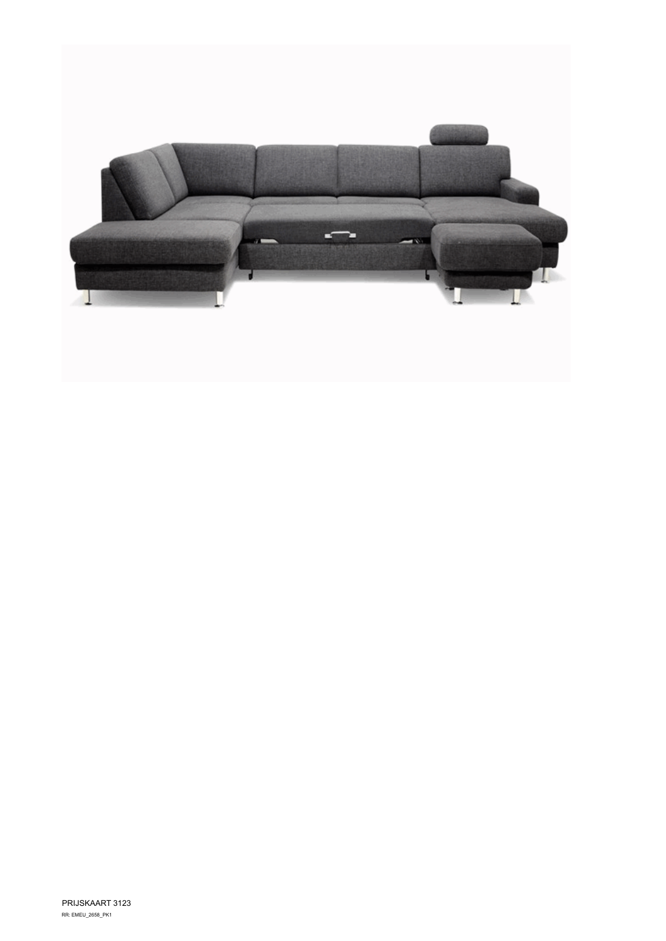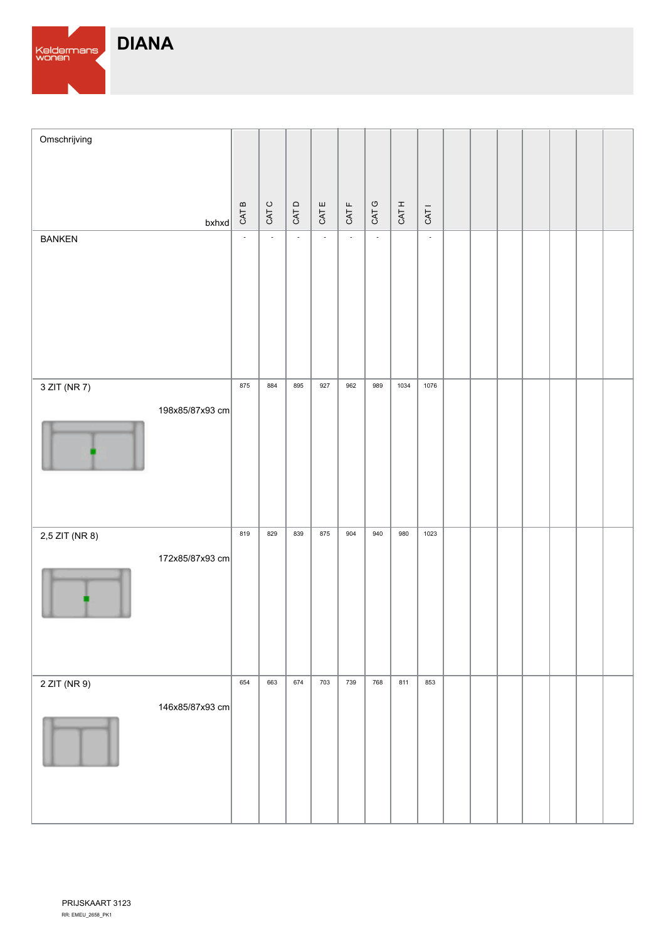

| Omschrijving   |                 |        |        |                           |                          |              |                          |       |                  |  |  |  |  |
|----------------|-----------------|--------|--------|---------------------------|--------------------------|--------------|--------------------------|-------|------------------|--|--|--|--|
|                | $b$ xhxd        | CAT B  | CAT C  | CATD                      | CAT E                    | CAT F        | CAT G                    | CAT H | CAT <sub>1</sub> |  |  |  |  |
| <b>BANKEN</b>  |                 | $\Box$ | $\sim$ | $\mathbb{L}^{\mathbb{N}}$ | $\overline{\phantom{a}}$ | $\mathbb{L}$ | $\overline{\phantom{a}}$ |       | $\mathbb{Z}^2$   |  |  |  |  |
|                |                 |        |        |                           |                          |              |                          |       |                  |  |  |  |  |
| 3 ZIT (NR 7)   |                 | 875    | 884    | 895                       | 927                      | 962          | 989                      | 1034  | 1076             |  |  |  |  |
|                | 198x85/87x93 cm |        |        |                           |                          |              |                          |       |                  |  |  |  |  |
| 2,5 ZIT (NR 8) |                 | 819    | 829    | 839                       | 875                      | 904          | 940                      | 980   | 1023             |  |  |  |  |
|                | 172x85/87x93 cm |        |        |                           |                          |              |                          |       |                  |  |  |  |  |
| 2 ZIT (NR 9)   |                 | 654    | 663    | 674                       | 703                      | 739          | 768                      | 811   | 853              |  |  |  |  |
|                | 146x85/87x93 cm |        |        |                           |                          |              |                          |       |                  |  |  |  |  |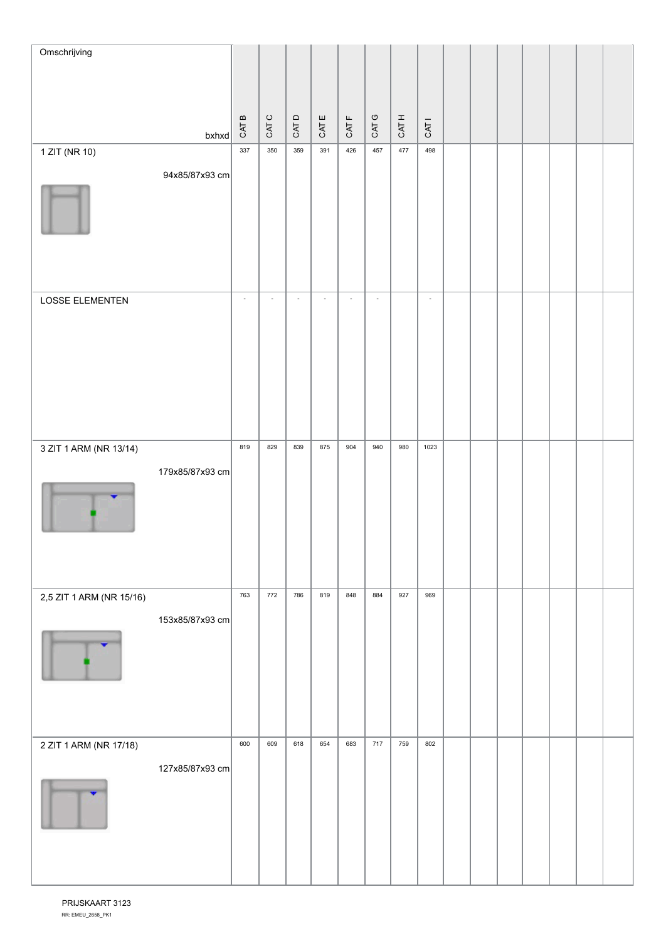| Omschrijving             |                 |                          |                          |                          |          |                          |                          |       |                          |  |  |  |  |
|--------------------------|-----------------|--------------------------|--------------------------|--------------------------|----------|--------------------------|--------------------------|-------|--------------------------|--|--|--|--|
|                          |                 |                          |                          |                          |          |                          |                          |       |                          |  |  |  |  |
|                          |                 |                          | $\circ$                  |                          | $\sqcup$ | $\mathsf{L}\mathsf{L}$   |                          |       |                          |  |  |  |  |
|                          | $b$ xhxd        | CAT B                    | CAT                      | CATD                     | CAT      | CAT                      | CAT G                    | CAT H | CAT <sub>I</sub>         |  |  |  |  |
| 1 ZIT (NR 10)            |                 | 337                      | 350                      | 359                      | 391      | 426                      | 457                      | 477   | 498                      |  |  |  |  |
|                          | 94x85/87x93 cm  |                          |                          |                          |          |                          |                          |       |                          |  |  |  |  |
| LOSSE ELEMENTEN          |                 | $\overline{\phantom{a}}$ | $\overline{\phantom{a}}$ | $\overline{\phantom{a}}$ | $\Box$   | $\overline{\phantom{a}}$ | $\overline{\phantom{a}}$ |       | $\overline{\phantom{a}}$ |  |  |  |  |
|                          |                 |                          |                          |                          |          |                          |                          |       |                          |  |  |  |  |
| 3 ZIT 1 ARM (NR 13/14)   |                 | 819                      | 829                      | 839                      | 875      | 904                      | 940                      | 980   | 1023                     |  |  |  |  |
|                          | 179x85/87x93 cm |                          |                          |                          |          |                          |                          |       |                          |  |  |  |  |
| 2,5 ZIT 1 ARM (NR 15/16) |                 | 763                      | 772                      | 786                      | 819      | 848                      | 884                      | 927   | 969                      |  |  |  |  |
|                          | 153x85/87x93 cm |                          |                          |                          |          |                          |                          |       |                          |  |  |  |  |
| 2 ZIT 1 ARM (NR 17/18)   |                 | 600                      | 609                      | 618                      | 654      | 683                      | 717                      | 759   | 802                      |  |  |  |  |
|                          | 127x85/87x93 cm |                          |                          |                          |          |                          |                          |       |                          |  |  |  |  |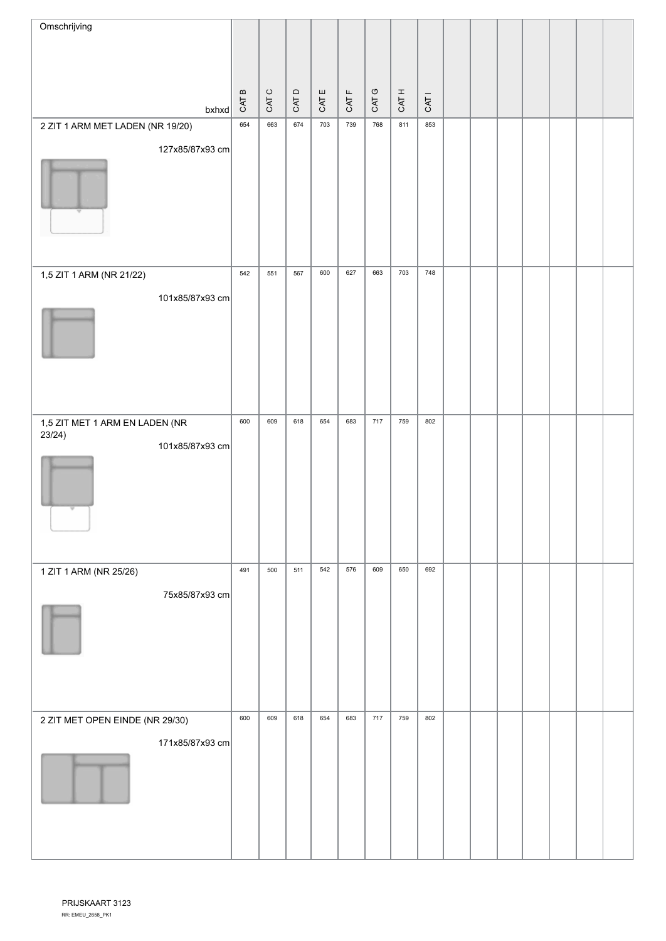| Omschrijving                             |       |       |       |       |             |       |       |       |  |  |  |  |
|------------------------------------------|-------|-------|-------|-------|-------------|-------|-------|-------|--|--|--|--|
|                                          |       |       |       |       |             |       |       |       |  |  |  |  |
|                                          |       |       |       |       |             |       |       |       |  |  |  |  |
| $b$ xhxd                                 | CAT B | CAT C | CAT D | CAT E | <b>CATF</b> | CAT G | CAT H | CAT I |  |  |  |  |
| 2 ZIT 1 ARM MET LADEN (NR 19/20)         | 654   | 663   | 674   | 703   | 739         | 768   | 811   | 853   |  |  |  |  |
| 127x85/87x93 cm                          |       |       |       |       |             |       |       |       |  |  |  |  |
|                                          |       |       |       |       |             |       |       |       |  |  |  |  |
| 1,5 ZIT 1 ARM (NR 21/22)                 | 542   | 551   | 567   | 600   | 627         | 663   | 703   | 748   |  |  |  |  |
| 101x85/87x93 cm                          |       |       |       |       |             |       |       |       |  |  |  |  |
|                                          |       |       |       |       |             |       |       |       |  |  |  |  |
| 1,5 ZIT MET 1 ARM EN LADEN (NR<br>23/24) | 600   | 609   | 618   | 654   | 683         | 717   | 759   | 802   |  |  |  |  |
| 101x85/87x93 cm                          |       |       |       |       |             |       |       |       |  |  |  |  |
| 1 ZIT 1 ARM (NR 25/26)                   | 491   | 500   | 511   | 542   | 576         | 609   | 650   | 692   |  |  |  |  |
| 75x85/87x93 cm                           |       |       |       |       |             |       |       |       |  |  |  |  |
| 2 ZIT MET OPEN EINDE (NR 29/30)          | 600   | 609   | 618   | 654   | 683         | 717   | 759   | 802   |  |  |  |  |
| 171x85/87x93 cm                          |       |       |       |       |             |       |       |       |  |  |  |  |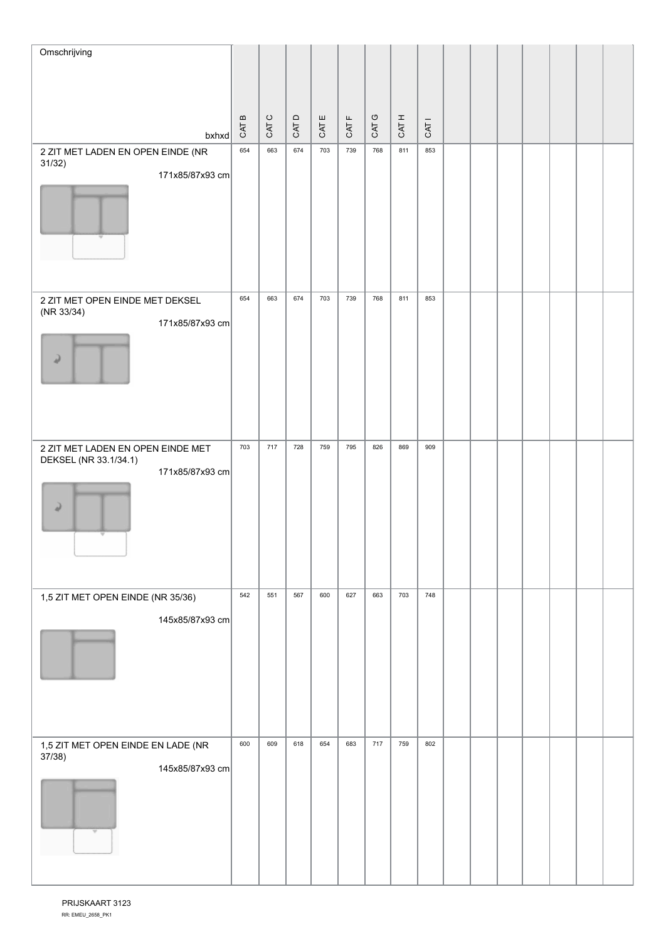| Omschrijving                                               |                                    |                |       |       |                               |       |       |                  |  |  |  |  |
|------------------------------------------------------------|------------------------------------|----------------|-------|-------|-------------------------------|-------|-------|------------------|--|--|--|--|
|                                                            |                                    |                |       |       |                               |       |       |                  |  |  |  |  |
|                                                            |                                    |                |       |       |                               |       |       |                  |  |  |  |  |
|                                                            | $\, \underline{\mathrm{m}}$<br>CAT | $\circ$<br>CAT | CAT D | CAT E | $\mathsf{L}\mathsf{L}$<br>CAT | CAT G | CAT H | CAT <sub>I</sub> |  |  |  |  |
| $b$ xhxd<br>2 ZIT MET LADEN EN OPEN EINDE (NR              | 654                                | 663            | 674   | 703   | 739                           | 768   | 811   | 853              |  |  |  |  |
| 31/32)<br>171x85/87x93 cm                                  |                                    |                |       |       |                               |       |       |                  |  |  |  |  |
|                                                            |                                    |                |       |       |                               |       |       |                  |  |  |  |  |
| 2 ZIT MET OPEN EINDE MET DEKSEL                            | 654                                | 663            | 674   | 703   | 739                           | 768   | 811   | 853              |  |  |  |  |
| (NR 33/34)<br>171x85/87x93 cm<br>ر                         |                                    |                |       |       |                               |       |       |                  |  |  |  |  |
| 2 ZIT MET LADEN EN OPEN EINDE MET<br>DEKSEL (NR 33.1/34.1) | 703                                | 717            | 728   | 759   | 795                           | 826   | 869   | 909              |  |  |  |  |
| 171x85/87x93 cm<br>ر                                       |                                    |                |       |       |                               |       |       |                  |  |  |  |  |
| 1,5 ZIT MET OPEN EINDE (NR 35/36)                          | 542                                | 551            | 567   | 600   | 627                           | 663   | 703   | 748              |  |  |  |  |
| 145x85/87x93 cm                                            |                                    |                |       |       |                               |       |       |                  |  |  |  |  |
| 1,5 ZIT MET OPEN EINDE EN LADE (NR<br>37/38)               | 600                                | 609            | 618   | 654   | 683                           | 717   | 759   | 802              |  |  |  |  |
| 145x85/87x93 cm<br>v                                       |                                    |                |       |       |                               |       |       |                  |  |  |  |  |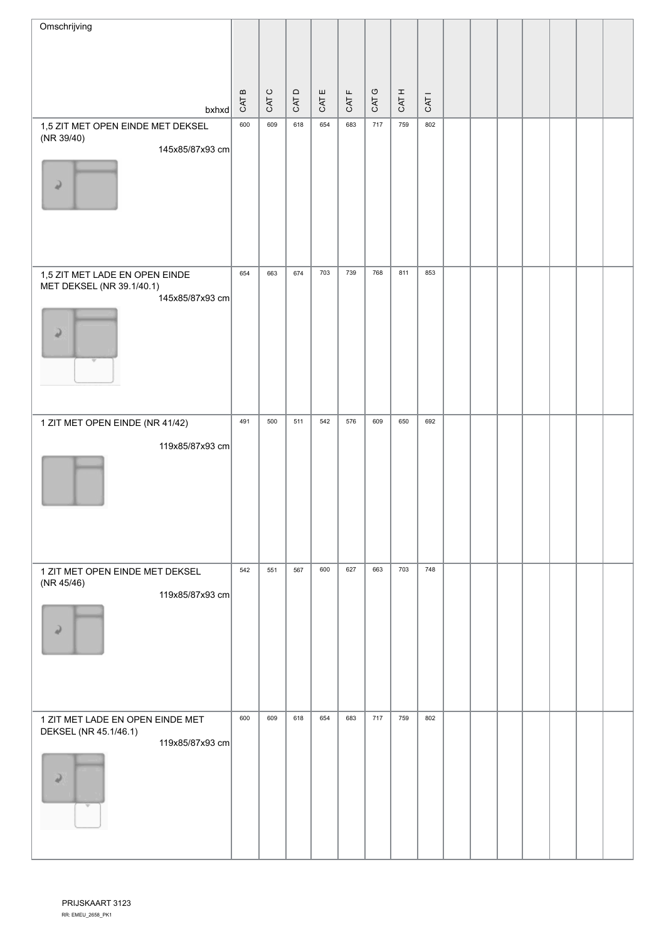| Omschrijving                                  |                                            |                |      |       |                           |       |       |                  |  |  |  |  |
|-----------------------------------------------|--------------------------------------------|----------------|------|-------|---------------------------|-------|-------|------------------|--|--|--|--|
|                                               |                                            |                |      |       |                           |       |       |                  |  |  |  |  |
|                                               |                                            |                |      |       |                           |       |       |                  |  |  |  |  |
|                                               | $\boldsymbol{\underline{\omega}}$<br>CAT I | $\circ$<br>CAT | CATD | CAT E | $\mathrel{\sqcup}$<br>CAT | CAT G | CAT H | CAT <sub>I</sub> |  |  |  |  |
| $b$ xhxd<br>1,5 ZIT MET OPEN EINDE MET DEKSEL | 600                                        | 609            | 618  | 654   | 683                       | 717   | 759   | 802              |  |  |  |  |
| (NR 39/40)                                    |                                            |                |      |       |                           |       |       |                  |  |  |  |  |
| 145x85/87x93 cm                               |                                            |                |      |       |                           |       |       |                  |  |  |  |  |
| ر                                             |                                            |                |      |       |                           |       |       |                  |  |  |  |  |
|                                               |                                            |                |      |       |                           |       |       |                  |  |  |  |  |
|                                               |                                            |                |      |       |                           |       |       |                  |  |  |  |  |
|                                               |                                            |                |      |       |                           |       |       |                  |  |  |  |  |
| 1,5 ZIT MET LADE EN OPEN EINDE                | 654                                        | 663            | 674  | 703   | 739                       | 768   | 811   | 853              |  |  |  |  |
| MET DEKSEL (NR 39.1/40.1)<br>145x85/87x93 cm  |                                            |                |      |       |                           |       |       |                  |  |  |  |  |
|                                               |                                            |                |      |       |                           |       |       |                  |  |  |  |  |
| ۵                                             |                                            |                |      |       |                           |       |       |                  |  |  |  |  |
| $\overline{\phantom{a}}$                      |                                            |                |      |       |                           |       |       |                  |  |  |  |  |
|                                               |                                            |                |      |       |                           |       |       |                  |  |  |  |  |
|                                               |                                            |                |      |       |                           |       |       |                  |  |  |  |  |
| 1 ZIT MET OPEN EINDE (NR 41/42)               | 491                                        | 500            | 511  | 542   | 576                       | 609   | 650   | 692              |  |  |  |  |
| 119x85/87x93 cm                               |                                            |                |      |       |                           |       |       |                  |  |  |  |  |
|                                               |                                            |                |      |       |                           |       |       |                  |  |  |  |  |
|                                               |                                            |                |      |       |                           |       |       |                  |  |  |  |  |
|                                               |                                            |                |      |       |                           |       |       |                  |  |  |  |  |
|                                               |                                            |                |      |       |                           |       |       |                  |  |  |  |  |
|                                               |                                            |                |      |       |                           |       |       |                  |  |  |  |  |
| 1 ZIT MET OPEN EINDE MET DEKSEL<br>(NR 45/46) | 542                                        | 551            | 567  | 600   | 627                       | 663   | 703   | 748              |  |  |  |  |
| 119x85/87x93 cm                               |                                            |                |      |       |                           |       |       |                  |  |  |  |  |
| Q                                             |                                            |                |      |       |                           |       |       |                  |  |  |  |  |
|                                               |                                            |                |      |       |                           |       |       |                  |  |  |  |  |
|                                               |                                            |                |      |       |                           |       |       |                  |  |  |  |  |
|                                               |                                            |                |      |       |                           |       |       |                  |  |  |  |  |
| 1 ZIT MET LADE EN OPEN EINDE MET              | 600                                        | 609            | 618  | 654   | 683                       | 717   | 759   | 802              |  |  |  |  |
| DEKSEL (NR 45.1/46.1)                         |                                            |                |      |       |                           |       |       |                  |  |  |  |  |
| 119x85/87x93 cm                               |                                            |                |      |       |                           |       |       |                  |  |  |  |  |
| $\overline{\phantom{a}}$                      |                                            |                |      |       |                           |       |       |                  |  |  |  |  |
| $\mathcal{W}$                                 |                                            |                |      |       |                           |       |       |                  |  |  |  |  |
|                                               |                                            |                |      |       |                           |       |       |                  |  |  |  |  |
|                                               |                                            |                |      |       |                           |       |       |                  |  |  |  |  |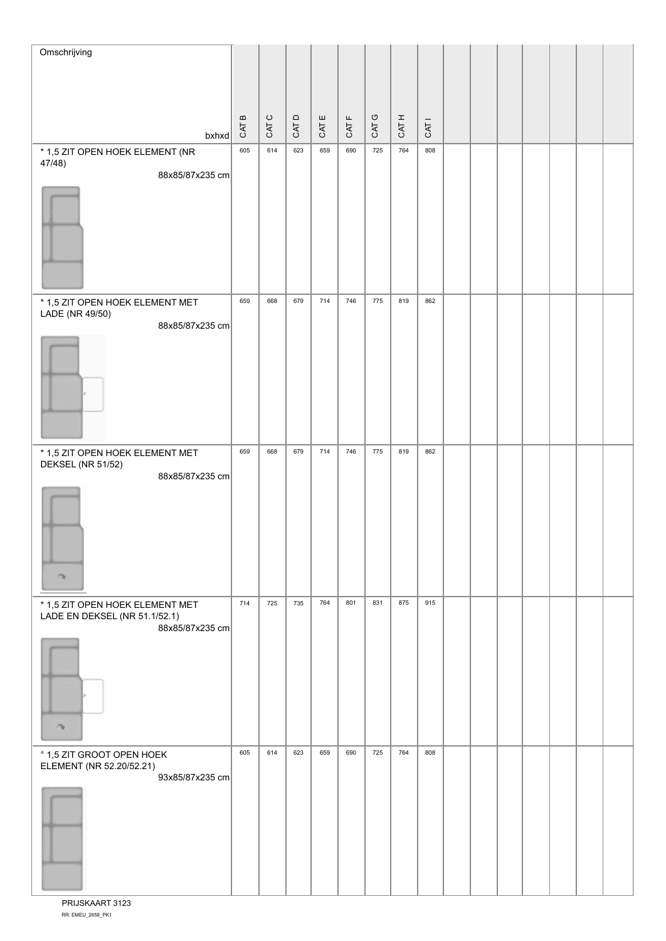| $\circ$<br>$\circ$<br>$\mathsf{D}$<br>ш<br>CAT B<br>$\mathsf{L}\mathsf{L}$<br>CAT H<br>CAT <sub>1</sub><br>CAT<br>CAT<br>CAT<br>CAT<br>CAT<br>bxhxd<br>764<br>659<br>690<br>725<br>808<br>605<br>614<br>623<br>* 1,5 ZIT OPEN HOEK ELEMENT (NR<br>47/48)<br>88x85/87x235 cm |
|-----------------------------------------------------------------------------------------------------------------------------------------------------------------------------------------------------------------------------------------------------------------------------|
|                                                                                                                                                                                                                                                                             |
|                                                                                                                                                                                                                                                                             |
|                                                                                                                                                                                                                                                                             |
|                                                                                                                                                                                                                                                                             |
|                                                                                                                                                                                                                                                                             |
|                                                                                                                                                                                                                                                                             |
|                                                                                                                                                                                                                                                                             |
|                                                                                                                                                                                                                                                                             |
|                                                                                                                                                                                                                                                                             |
| 775<br>819<br>679<br>714<br>746<br>862<br>659<br>668<br>* 1,5 ZIT OPEN HOEK ELEMENT MET                                                                                                                                                                                     |
| LADE (NR 49/50)<br>88x85/87x235 cm                                                                                                                                                                                                                                          |
|                                                                                                                                                                                                                                                                             |
|                                                                                                                                                                                                                                                                             |
|                                                                                                                                                                                                                                                                             |
|                                                                                                                                                                                                                                                                             |
|                                                                                                                                                                                                                                                                             |
| 714<br>746<br>775<br>819<br>862<br>659<br>668<br>679<br>* 1,5 ZIT OPEN HOEK ELEMENT MET<br>DEKSEL (NR 51/52)                                                                                                                                                                |
| 88x85/87x235 cm                                                                                                                                                                                                                                                             |
|                                                                                                                                                                                                                                                                             |
|                                                                                                                                                                                                                                                                             |
|                                                                                                                                                                                                                                                                             |
| ↷                                                                                                                                                                                                                                                                           |
| 764<br>831<br>875<br>915<br>714<br>725<br>735<br>801<br>* 1,5 ZIT OPEN HOEK ELEMENT MET<br>LADE EN DEKSEL (NR 51.1/52.1)                                                                                                                                                    |
| 88x85/87x235 cm                                                                                                                                                                                                                                                             |
|                                                                                                                                                                                                                                                                             |
|                                                                                                                                                                                                                                                                             |
|                                                                                                                                                                                                                                                                             |
| $\rightarrow$                                                                                                                                                                                                                                                               |
| 659<br>690<br>725<br>764<br>808<br>605<br>614<br>623<br>° 1,5 ZIT GROOT OPEN HOEK                                                                                                                                                                                           |
| ELEMENT (NR 52.20/52.21)<br>93x85/87x235 cm                                                                                                                                                                                                                                 |
|                                                                                                                                                                                                                                                                             |
|                                                                                                                                                                                                                                                                             |
|                                                                                                                                                                                                                                                                             |
|                                                                                                                                                                                                                                                                             |

RR: EMEU\_2658\_PK1 PRIJSKAART 3123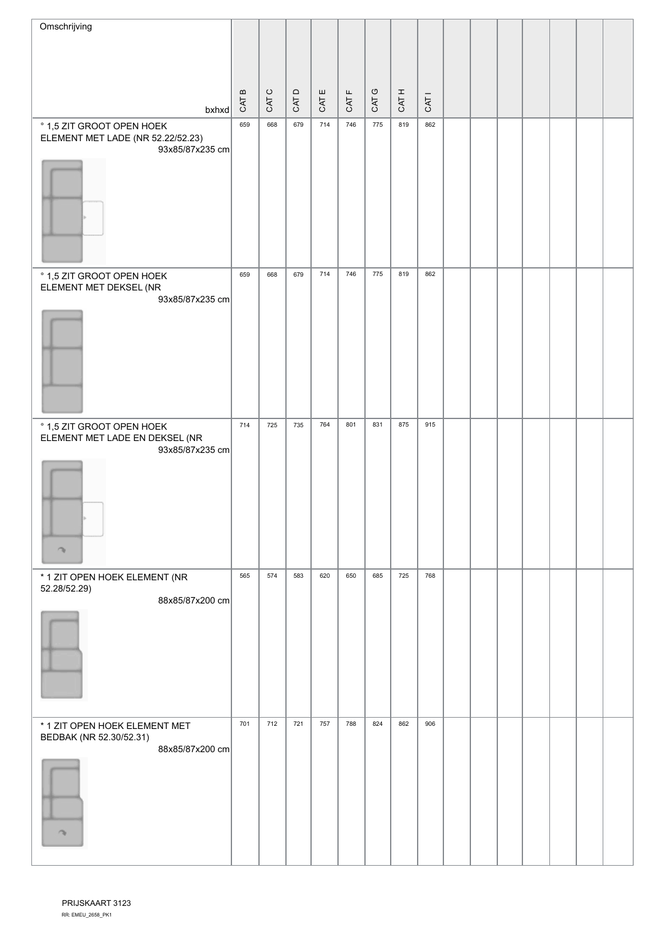| Omschrijving                                                                      |       |                |       |          |                               |                     |       |                  |  |  |  |  |
|-----------------------------------------------------------------------------------|-------|----------------|-------|----------|-------------------------------|---------------------|-------|------------------|--|--|--|--|
|                                                                                   |       |                |       |          |                               |                     |       |                  |  |  |  |  |
|                                                                                   |       |                |       |          |                               |                     |       |                  |  |  |  |  |
| bxhxd                                                                             | CAT B | $\circ$<br>CAT | CAT D | ш<br>CAT | $\mathsf{L}\mathsf{L}$<br>CAT | $\mathbb{C}$<br>CAT | CAT H | CAT <sub>1</sub> |  |  |  |  |
| ° 1,5 ZIT GROOT OPEN HOEK<br>ELEMENT MET LADE (NR 52.22/52.23)<br>93x85/87x235 cm | 659   | 668            | 679   | 714      | 746                           | 775                 | 819   | 862              |  |  |  |  |
|                                                                                   |       |                |       |          |                               |                     |       |                  |  |  |  |  |
| ° 1,5 ZIT GROOT OPEN HOEK<br>ELEMENT MET DEKSEL (NR<br>93x85/87x235 cm            | 659   | 668            | 679   | 714      | 746                           | 775                 | 819   | 862              |  |  |  |  |
|                                                                                   |       |                |       |          |                               |                     |       |                  |  |  |  |  |
| ° 1,5 ZIT GROOT OPEN HOEK<br>ELEMENT MET LADE EN DEKSEL (NR<br>93x85/87x235 cm    | 714   | 725            | 735   | 764      | 801                           | 831                 | 875   | 915              |  |  |  |  |
| n,                                                                                |       |                |       |          |                               |                     |       |                  |  |  |  |  |
| * 1 ZIT OPEN HOEK ELEMENT (NR<br>52.28/52.29)                                     | 565   | 574            | 583   | 620      | 650                           | 685                 | 725   | 768              |  |  |  |  |
| 88x85/87x200 cm                                                                   |       |                |       |          |                               |                     |       |                  |  |  |  |  |
| * 1 ZIT OPEN HOEK ELEMENT MET<br>BEDBAK (NR 52.30/52.31)<br>88x85/87x200 cm       | 701   | 712            | 721   | 757      | 788                           | 824                 | 862   | 906              |  |  |  |  |
| $\rightarrow$                                                                     |       |                |       |          |                               |                     |       |                  |  |  |  |  |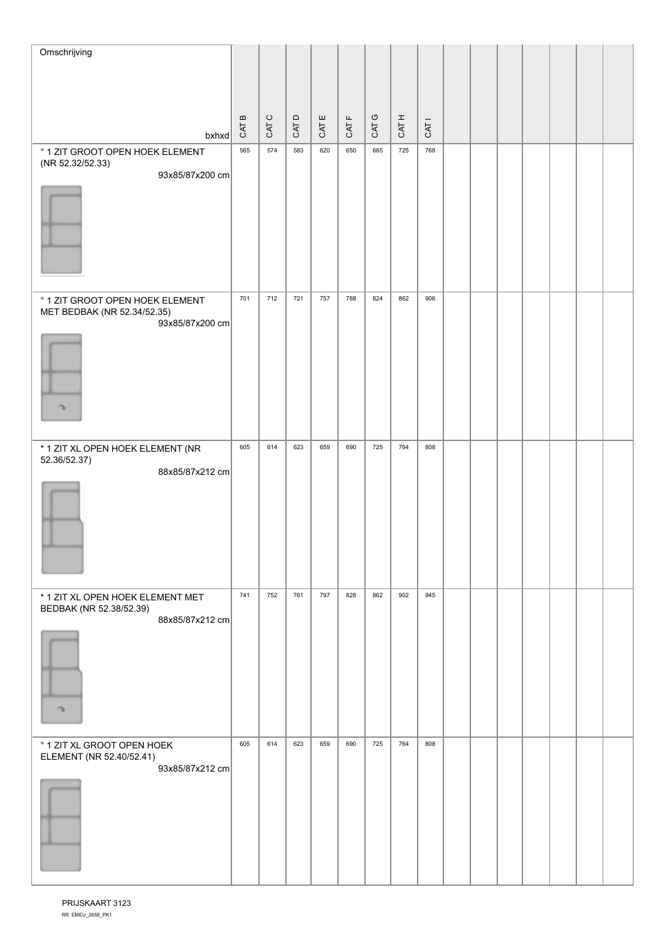| Omschrijving                                                                                       |       |          |       |      |     |            |       |       |                  |  |  |  |  |
|----------------------------------------------------------------------------------------------------|-------|----------|-------|------|-----|------------|-------|-------|------------------|--|--|--|--|
|                                                                                                    |       |          |       |      |     |            |       |       |                  |  |  |  |  |
|                                                                                                    |       | $\bf{m}$ |       |      | ш   | L          |       |       |                  |  |  |  |  |
|                                                                                                    | bxhxd | CAT I    | CAT C | CATD | CAT | <b>CAT</b> | CAT G | CAT H | CAT <sub>1</sub> |  |  |  |  |
| ° 1 ZIT GROOT OPEN HOEK ELEMENT<br>(NR 52.32/52.33)                                                |       | 565      | 574   | 583  | 620 | 650        | 685   | 725   | 768              |  |  |  |  |
| 93x85/87x200 cm                                                                                    |       |          |       |      |     |            |       |       |                  |  |  |  |  |
| ° 1 ZIT GROOT OPEN HOEK ELEMENT<br>MET BEDBAK (NR 52.34/52.35)<br>93x85/87x200 cm<br>$\rightarrow$ |       | 701      | 712   | 721  | 757 | 788        | 824   | 862   | 906              |  |  |  |  |
| * 1 ZIT XL OPEN HOEK ELEMENT (NR<br>52.36/52.37)<br>88x85/87x212 cm                                |       | 605      | 614   | 623  | 659 | 690        | 725   | 764   | 808              |  |  |  |  |
| * 1 ZIT XL OPEN HOEK ELEMENT MET<br>BEDBAK (NR 52.38/52.39)<br>88x85/87x212 cm<br>$\rightarrow$    |       | 741      | 752   | 761  | 797 | 828        | 862   | 902   | 945              |  |  |  |  |
| ° 1 ZIT XL GROOT OPEN HOEK<br>ELEMENT (NR 52.40/52.41)<br>93x85/87x212 cm                          |       | 605      | 614   | 623  | 659 | 690        | 725   | 764   | 808              |  |  |  |  |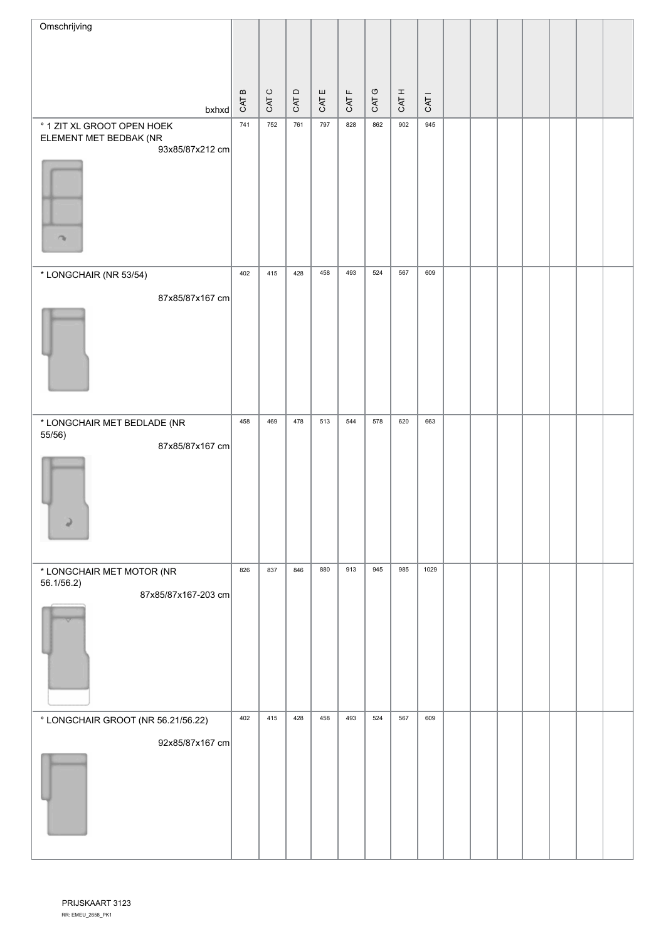| Omschrijving                                          |       |         |      |       |       |       |       |                  |  |  |  |  |
|-------------------------------------------------------|-------|---------|------|-------|-------|-------|-------|------------------|--|--|--|--|
|                                                       |       |         |      |       |       |       |       |                  |  |  |  |  |
|                                                       |       | $\circ$ |      |       |       |       |       |                  |  |  |  |  |
| bxhxd                                                 | CAT B | CAT     | CATD | CAT E | CAT F | CAT G | CAT H | CAT <sub>1</sub> |  |  |  |  |
| ° 1 ZIT XL GROOT OPEN HOEK<br>ELEMENT MET BEDBAK (NR  | 741   | 752     | 761  | 797   | 828   | 862   | 902   | 945              |  |  |  |  |
| 93x85/87x212 cm                                       |       |         |      |       |       |       |       |                  |  |  |  |  |
|                                                       |       |         |      |       |       |       |       |                  |  |  |  |  |
|                                                       |       |         |      |       |       |       |       |                  |  |  |  |  |
| $\rightarrow$                                         |       |         |      |       |       |       |       |                  |  |  |  |  |
|                                                       |       |         |      |       |       |       |       |                  |  |  |  |  |
| * LONGCHAIR (NR 53/54)                                | 402   | 415     | 428  | 458   | 493   | 524   | 567   | 609              |  |  |  |  |
| 87x85/87x167 cm                                       |       |         |      |       |       |       |       |                  |  |  |  |  |
|                                                       |       |         |      |       |       |       |       |                  |  |  |  |  |
|                                                       |       |         |      |       |       |       |       |                  |  |  |  |  |
|                                                       |       |         |      |       |       |       |       |                  |  |  |  |  |
|                                                       |       |         |      |       |       |       |       |                  |  |  |  |  |
| * LONGCHAIR MET BEDLADE (NR<br>55/56)                 | 458   | 469     | 478  | 513   | 544   | 578   | 620   | 663              |  |  |  |  |
| 87x85/87x167 cm                                       |       |         |      |       |       |       |       |                  |  |  |  |  |
|                                                       |       |         |      |       |       |       |       |                  |  |  |  |  |
|                                                       |       |         |      |       |       |       |       |                  |  |  |  |  |
|                                                       |       |         |      |       |       |       |       |                  |  |  |  |  |
|                                                       |       |         |      |       |       |       |       |                  |  |  |  |  |
| * LONGCHAIR MET MOTOR (NR<br>56.1/56.2)               | 826   | 837     | 846  | 880   | 913   | 945   | 985   | 1029             |  |  |  |  |
| 87x85/87x167-203 cm                                   |       |         |      |       |       |       |       |                  |  |  |  |  |
|                                                       |       |         |      |       |       |       |       |                  |  |  |  |  |
|                                                       |       |         |      |       |       |       |       |                  |  |  |  |  |
|                                                       |       |         |      |       |       |       |       |                  |  |  |  |  |
|                                                       | 402   | 415     | 428  | 458   | 493   | 524   | 567   | 609              |  |  |  |  |
| ° LONGCHAIR GROOT (NR 56.21/56.22)<br>92x85/87x167 cm |       |         |      |       |       |       |       |                  |  |  |  |  |
|                                                       |       |         |      |       |       |       |       |                  |  |  |  |  |
|                                                       |       |         |      |       |       |       |       |                  |  |  |  |  |
|                                                       |       |         |      |       |       |       |       |                  |  |  |  |  |
|                                                       |       |         |      |       |       |       |       |                  |  |  |  |  |
|                                                       |       |         |      |       |       |       |       |                  |  |  |  |  |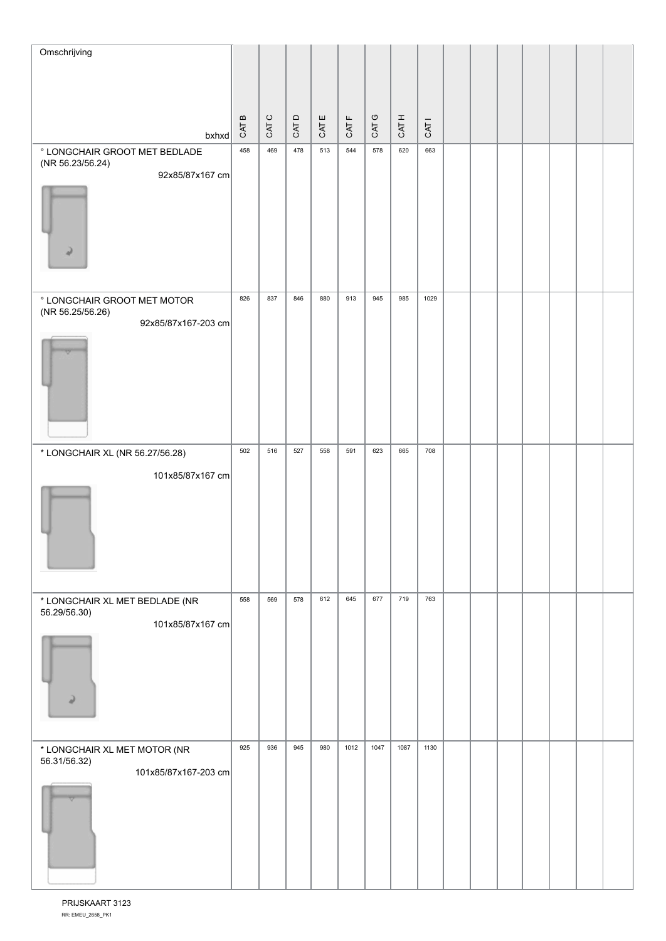| Omschrijving                                      |                                          |                |      |       |          |       |       |                  |  |  |  |  |
|---------------------------------------------------|------------------------------------------|----------------|------|-------|----------|-------|-------|------------------|--|--|--|--|
|                                                   |                                          |                |      |       |          |       |       |                  |  |  |  |  |
|                                                   |                                          |                |      |       |          |       |       |                  |  |  |  |  |
| $b$ xhxd                                          | $\boldsymbol{\underline{\omega}}$<br>CAT | $\circ$<br>CAT | CATD | CAT E | щ<br>CAT | CAT G | CAT H | CAT <sub>I</sub> |  |  |  |  |
| ° LONGCHAIR GROOT MET BEDLADE<br>(NR 56.23/56.24) | 458                                      | 469            | 478  | 513   | 544      | 578   | 620   | 663              |  |  |  |  |
| 92x85/87x167 cm                                   |                                          |                |      |       |          |       |       |                  |  |  |  |  |
| s                                                 |                                          |                |      |       |          |       |       |                  |  |  |  |  |
| ° LONGCHAIR GROOT MET MOTOR<br>(NR 56.25/56.26)   | 826                                      | 837            | 846  | 880   | 913      | 945   | 985   | 1029             |  |  |  |  |
| 92x85/87x167-203 cm                               |                                          |                |      |       |          |       |       |                  |  |  |  |  |
|                                                   |                                          |                |      |       |          |       |       |                  |  |  |  |  |
| * LONGCHAIR XL (NR 56.27/56.28)                   | 502                                      | 516            | 527  | 558   | 591      | 623   | 665   | 708              |  |  |  |  |
| 101x85/87x167 cm                                  |                                          |                |      |       |          |       |       |                  |  |  |  |  |
| * LONGCHAIR XL MET BEDLADE (NR<br>56.29/56.30)    | 558                                      | 569            | 578  | 612   | 645      | 677   | 719   | 763              |  |  |  |  |
| 101x85/87x167 cm<br>4)                            |                                          |                |      |       |          |       |       |                  |  |  |  |  |
| * LONGCHAIR XL MET MOTOR (NR<br>56.31/56.32)      | 925                                      | 936            | 945  | 980   | 1012     | 1047  | 1087  | 1130             |  |  |  |  |
| 101x85/87x167-203 cm                              |                                          |                |      |       |          |       |       |                  |  |  |  |  |

RR: EMEU\_2658\_PK1 PRIJSKAART 3123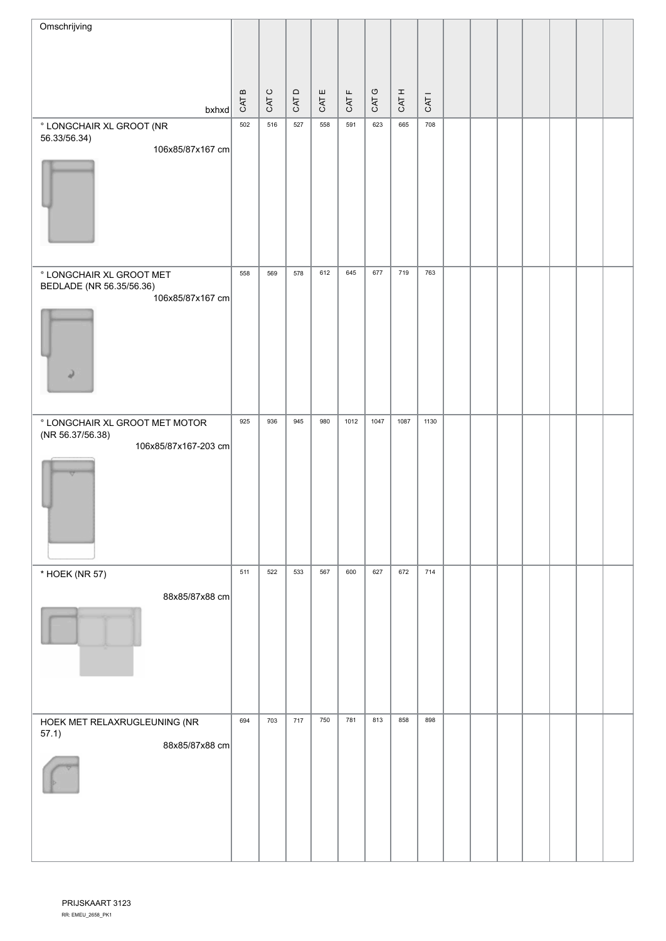| Omschrijving                                                               |                             |         |      |     |                        |               |       |                  |  |  |  |  |
|----------------------------------------------------------------------------|-----------------------------|---------|------|-----|------------------------|---------------|-------|------------------|--|--|--|--|
|                                                                            |                             |         |      |     |                        |               |       |                  |  |  |  |  |
|                                                                            | $\, \underline{\mathrm{m}}$ | $\circ$ |      | ш   | $\mathrel{\mathsf{L}}$ | $\mathbbm{C}$ |       |                  |  |  |  |  |
| bxhxd                                                                      | CAT I                       | CAT     | CATD | CAT | CAT                    | CAT           | CAT H | CAT <sub>1</sub> |  |  |  |  |
| ° LONGCHAIR XL GROOT (NR<br>56.33/56.34)                                   | 502                         | 516     | 527  | 558 | 591                    | 623           | 665   | 708              |  |  |  |  |
| 106x85/87x167 cm                                                           |                             |         |      |     |                        |               |       |                  |  |  |  |  |
|                                                                            |                             |         |      |     |                        |               |       |                  |  |  |  |  |
|                                                                            |                             |         |      |     |                        |               |       |                  |  |  |  |  |
|                                                                            |                             |         |      |     |                        |               |       |                  |  |  |  |  |
|                                                                            |                             |         |      |     |                        |               |       |                  |  |  |  |  |
| ° LONGCHAIR XL GROOT MET<br>BEDLADE (NR 56.35/56.36)                       | 558                         | 569     | 578  | 612 | 645                    | 677           | 719   | 763              |  |  |  |  |
| 106x85/87x167 cm                                                           |                             |         |      |     |                        |               |       |                  |  |  |  |  |
|                                                                            |                             |         |      |     |                        |               |       |                  |  |  |  |  |
|                                                                            |                             |         |      |     |                        |               |       |                  |  |  |  |  |
| ×                                                                          |                             |         |      |     |                        |               |       |                  |  |  |  |  |
|                                                                            | 925                         | 936     | 945  | 980 | 1012                   | 1047          | 1087  | 1130             |  |  |  |  |
| ° LONGCHAIR XL GROOT MET MOTOR<br>(NR 56.37/56.38)<br>106x85/87x167-203 cm |                             |         |      |     |                        |               |       |                  |  |  |  |  |
|                                                                            |                             |         |      |     |                        |               |       |                  |  |  |  |  |
|                                                                            |                             |         |      |     |                        |               |       |                  |  |  |  |  |
|                                                                            |                             |         |      |     |                        |               |       |                  |  |  |  |  |
|                                                                            |                             |         |      |     |                        |               |       |                  |  |  |  |  |
| * HOEK (NR 57)                                                             | 511                         | 522     | 533  | 567 | 600                    | 627           | 672   | 714              |  |  |  |  |
| 88x85/87x88 cm                                                             |                             |         |      |     |                        |               |       |                  |  |  |  |  |
|                                                                            |                             |         |      |     |                        |               |       |                  |  |  |  |  |
|                                                                            |                             |         |      |     |                        |               |       |                  |  |  |  |  |
|                                                                            |                             |         |      |     |                        |               |       |                  |  |  |  |  |
|                                                                            |                             |         |      |     |                        |               |       |                  |  |  |  |  |
| HOEK MET RELAXRUGLEUNING (NR                                               | 694                         | 703     | 717  | 750 | 781                    | 813           | 858   | 898              |  |  |  |  |
| 57.1)<br>88x85/87x88 cm                                                    |                             |         |      |     |                        |               |       |                  |  |  |  |  |
|                                                                            |                             |         |      |     |                        |               |       |                  |  |  |  |  |
|                                                                            |                             |         |      |     |                        |               |       |                  |  |  |  |  |
|                                                                            |                             |         |      |     |                        |               |       |                  |  |  |  |  |
|                                                                            |                             |         |      |     |                        |               |       |                  |  |  |  |  |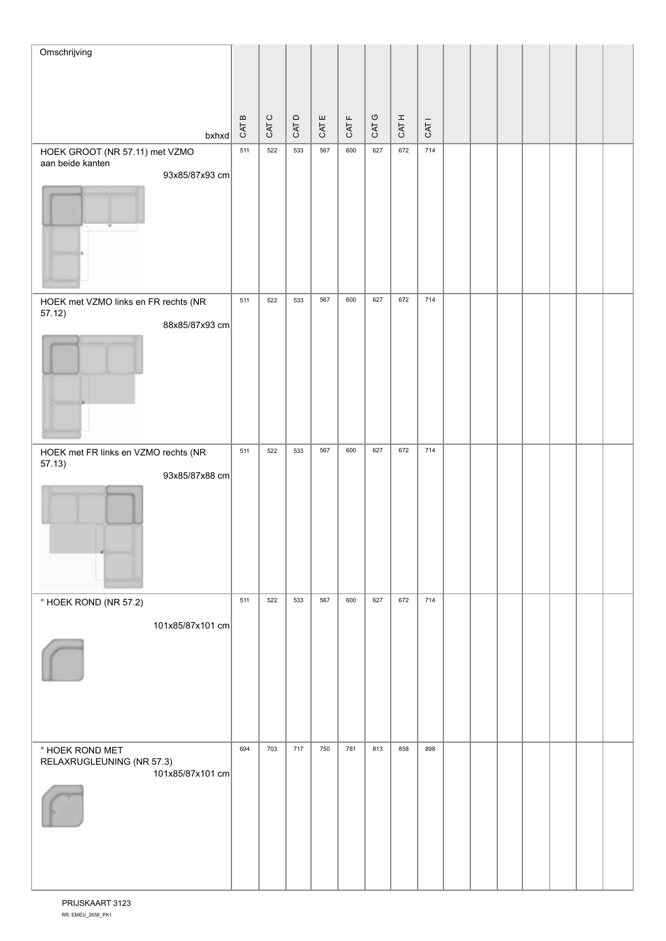| Omschrijving                                  |                                    |                |       |       |                                 |       |       |                  |  |  |  |  |
|-----------------------------------------------|------------------------------------|----------------|-------|-------|---------------------------------|-------|-------|------------------|--|--|--|--|
|                                               |                                    |                |       |       |                                 |       |       |                  |  |  |  |  |
|                                               |                                    |                |       |       |                                 |       |       |                  |  |  |  |  |
|                                               | $\, \underline{\mathrm{m}}$<br>CAT | $\circ$<br>CAT | CAT D | CAT E | $\mathsf{L}\mathsf{L}$<br>CAT I | CAT G | CAT H | CAT <sub>I</sub> |  |  |  |  |
| $b$ xhxd<br>HOEK GROOT (NR 57.11) met VZMO    | 511                                | 522            | 533   | 567   | 600                             | 627   | 672   | 714              |  |  |  |  |
| aan beide kanten                              |                                    |                |       |       |                                 |       |       |                  |  |  |  |  |
| 93x85/87x93 cm                                |                                    |                |       |       |                                 |       |       |                  |  |  |  |  |
|                                               |                                    |                |       |       |                                 |       |       |                  |  |  |  |  |
|                                               |                                    |                |       |       |                                 |       |       |                  |  |  |  |  |
|                                               |                                    |                |       |       |                                 |       |       |                  |  |  |  |  |
|                                               |                                    |                |       |       |                                 |       |       |                  |  |  |  |  |
| HOEK met VZMO links en FR rechts (NR          | 511                                | 522            | 533   | 567   | 600                             | 627   | 672   | 714              |  |  |  |  |
| 57.12)<br>88x85/87x93 cm                      |                                    |                |       |       |                                 |       |       |                  |  |  |  |  |
|                                               |                                    |                |       |       |                                 |       |       |                  |  |  |  |  |
|                                               |                                    |                |       |       |                                 |       |       |                  |  |  |  |  |
|                                               |                                    |                |       |       |                                 |       |       |                  |  |  |  |  |
|                                               |                                    |                |       |       |                                 |       |       |                  |  |  |  |  |
|                                               |                                    |                |       |       |                                 |       |       |                  |  |  |  |  |
| HOEK met FR links en VZMO rechts (NR          | 511                                | 522            | 533   | 567   | 600                             | 627   | 672   | 714              |  |  |  |  |
| 57.13)<br>93x85/87x88 cm                      |                                    |                |       |       |                                 |       |       |                  |  |  |  |  |
|                                               |                                    |                |       |       |                                 |       |       |                  |  |  |  |  |
|                                               |                                    |                |       |       |                                 |       |       |                  |  |  |  |  |
|                                               |                                    |                |       |       |                                 |       |       |                  |  |  |  |  |
|                                               |                                    |                |       |       |                                 |       |       |                  |  |  |  |  |
|                                               |                                    |                |       |       |                                 |       |       |                  |  |  |  |  |
| ° HOEK ROND (NR 57.2)                         | 511                                | 522            | 533   | 567   | 600                             | 627   | 672   | 714              |  |  |  |  |
| 101x85/87x101 cm                              |                                    |                |       |       |                                 |       |       |                  |  |  |  |  |
|                                               |                                    |                |       |       |                                 |       |       |                  |  |  |  |  |
|                                               |                                    |                |       |       |                                 |       |       |                  |  |  |  |  |
|                                               |                                    |                |       |       |                                 |       |       |                  |  |  |  |  |
|                                               |                                    |                |       |       |                                 |       |       |                  |  |  |  |  |
| ° HOEK ROND MET                               | 694                                | 703            | 717   | 750   | 781                             | 813   | 858   | 898              |  |  |  |  |
| RELAXRUGLEUNING (NR 57.3)<br>101x85/87x101 cm |                                    |                |       |       |                                 |       |       |                  |  |  |  |  |
|                                               |                                    |                |       |       |                                 |       |       |                  |  |  |  |  |
|                                               |                                    |                |       |       |                                 |       |       |                  |  |  |  |  |
|                                               |                                    |                |       |       |                                 |       |       |                  |  |  |  |  |
|                                               |                                    |                |       |       |                                 |       |       |                  |  |  |  |  |
|                                               |                                    |                |       |       |                                 |       |       |                  |  |  |  |  |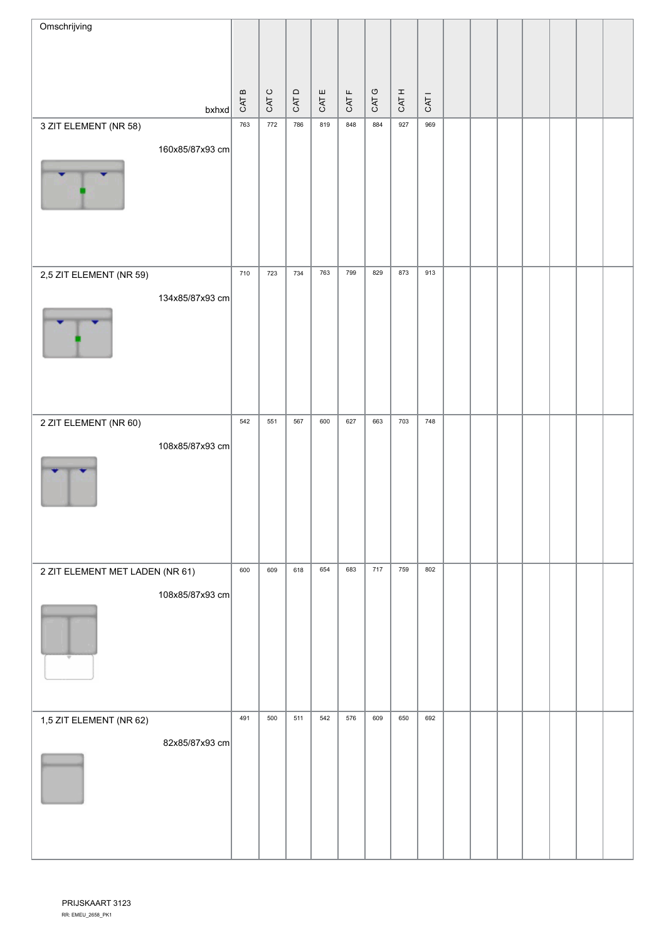| Omschrijving                    |                 |                                                 |       |      |       |       |       |       |                  |  |  |  |  |
|---------------------------------|-----------------|-------------------------------------------------|-------|------|-------|-------|-------|-------|------------------|--|--|--|--|
|                                 |                 |                                                 |       |      |       |       |       |       |                  |  |  |  |  |
|                                 |                 |                                                 |       |      |       |       |       |       |                  |  |  |  |  |
|                                 | $b$ xhxd        | $\, \underline{\mathrm{m}}$<br>CAT <sub>I</sub> | CAT C | CATD | CAT E | CAT F | CAT G | CAT H | CAT <sub>1</sub> |  |  |  |  |
| 3 ZIT ELEMENT (NR 58)           |                 | 763                                             | 772   | 786  | 819   | 848   | 884   | 927   | 969              |  |  |  |  |
|                                 | 160x85/87x93 cm |                                                 |       |      |       |       |       |       |                  |  |  |  |  |
|                                 |                 |                                                 |       |      |       |       |       |       |                  |  |  |  |  |
| 2,5 ZIT ELEMENT (NR 59)         |                 | 710                                             | 723   | 734  | 763   | 799   | 829   | 873   | 913              |  |  |  |  |
|                                 | 134x85/87x93 cm |                                                 |       |      |       |       |       |       |                  |  |  |  |  |
|                                 |                 |                                                 |       |      |       |       |       |       |                  |  |  |  |  |
| 2 ZIT ELEMENT (NR 60)           |                 | 542                                             | 551   | 567  | 600   | 627   | 663   | 703   | 748              |  |  |  |  |
|                                 | 108x85/87x93 cm |                                                 |       |      |       |       |       |       |                  |  |  |  |  |
| 2 ZIT ELEMENT MET LADEN (NR 61) |                 | 600                                             | 609   | 618  | 654   | 683   | 717   | 759   | 802              |  |  |  |  |
|                                 | 108x85/87x93 cm |                                                 |       |      |       |       |       |       |                  |  |  |  |  |
| 1,5 ZIT ELEMENT (NR 62)         |                 | 491                                             | 500   | 511  | 542   | 576   | 609   | 650   | 692              |  |  |  |  |
|                                 | 82x85/87x93 cm  |                                                 |       |      |       |       |       |       |                  |  |  |  |  |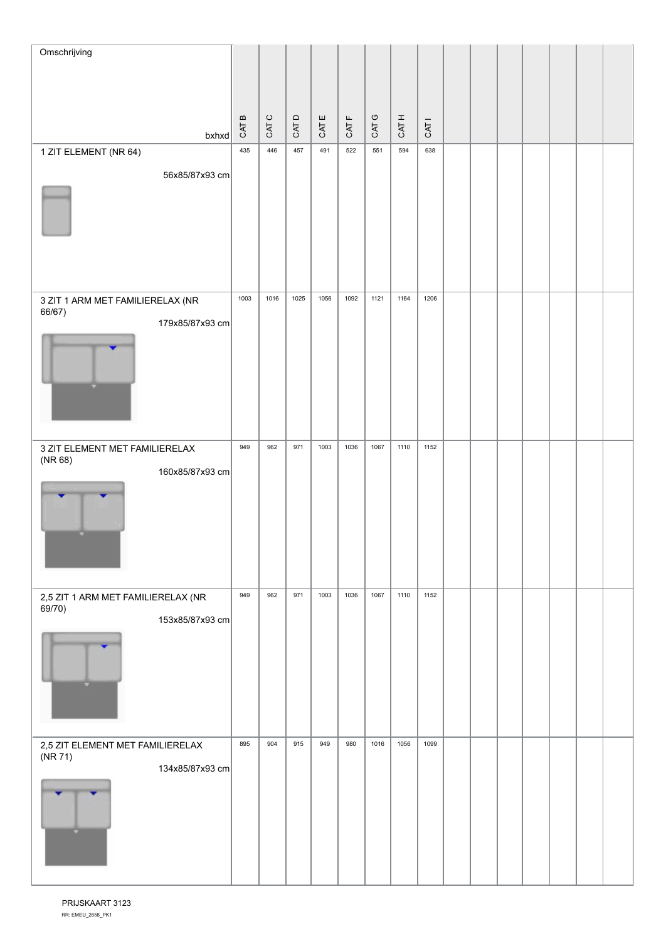| Omschrijving                                                  |                             |       |      |       |              |       |       |                  |  |  |  |  |
|---------------------------------------------------------------|-----------------------------|-------|------|-------|--------------|-------|-------|------------------|--|--|--|--|
|                                                               |                             |       |      |       |              |       |       |                  |  |  |  |  |
|                                                               | $\, \underline{\mathrm{m}}$ |       |      |       |              |       |       |                  |  |  |  |  |
| $b$ xhxd                                                      | CAT I                       | CAT C | CATD | CAT E | <b>CAT F</b> | CAT G | CAT H | CAT <sub>1</sub> |  |  |  |  |
| 1 ZIT ELEMENT (NR 64)                                         | 435                         | 446   | 457  | 491   | 522          | 551   | 594   | 638              |  |  |  |  |
| 56x85/87x93 cm                                                |                             |       |      |       |              |       |       |                  |  |  |  |  |
|                                                               | 1003                        | 1016  | 1025 | 1056  | 1092         | 1121  | 1164  | 1206             |  |  |  |  |
| 3 ZIT 1 ARM MET FAMILIERELAX (NR<br>66/67)<br>179x85/87x93 cm |                             |       |      |       |              |       |       |                  |  |  |  |  |
|                                                               |                             |       |      |       |              |       |       |                  |  |  |  |  |
| 3 ZIT ELEMENT MET FAMILIERELAX<br>(NR 68)                     | 949                         | 962   | 971  | 1003  | 1036         | 1067  | 1110  | 1152             |  |  |  |  |
| 160x85/87x93 cm                                               |                             |       |      |       |              |       |       |                  |  |  |  |  |
| 2,5 ZIT 1 ARM MET FAMILIERELAX (NR<br>69/70)                  | 949                         | 962   | 971  | 1003  | 1036         | 1067  | 1110  | 1152             |  |  |  |  |
| 153x85/87x93 cm                                               |                             |       |      |       |              |       |       |                  |  |  |  |  |
| 2,5 ZIT ELEMENT MET FAMILIERELAX<br>(NR 71)                   | 895                         | 904   | 915  | 949   | 980          | 1016  | 1056  | 1099             |  |  |  |  |
| 134x85/87x93 cm                                               |                             |       |      |       |              |       |       |                  |  |  |  |  |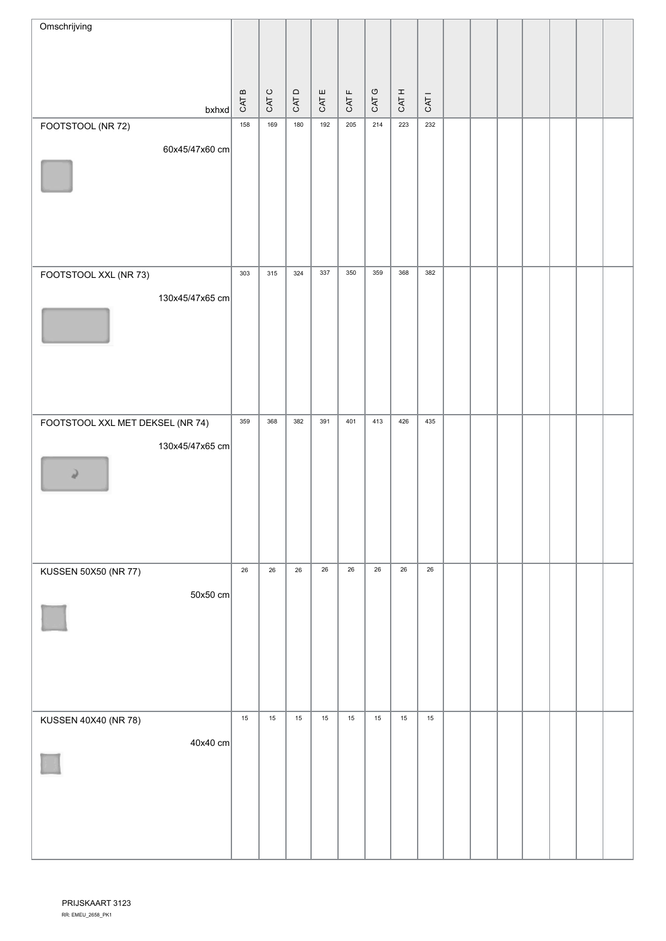| Omschrijving                     |                             |        |       |       |        |        |        |                  |  |  |  |  |
|----------------------------------|-----------------------------|--------|-------|-------|--------|--------|--------|------------------|--|--|--|--|
|                                  |                             |        |       |       |        |        |        |                  |  |  |  |  |
|                                  | $\, \underline{\mathrm{m}}$ |        |       |       |        |        |        |                  |  |  |  |  |
| $b$ xhxd                         | CAT I                       | CAT C  | CAT D | CAT E | CAT F  | CAT G  | CAT H  | CAT <sub>1</sub> |  |  |  |  |
| FOOTSTOOL (NR 72)                | 158                         | 169    | 180   | 192   | 205    | 214    | 223    | 232              |  |  |  |  |
| 60x45/47x60 cm                   |                             |        |       |       |        |        |        |                  |  |  |  |  |
|                                  |                             |        |       |       |        |        |        |                  |  |  |  |  |
|                                  |                             |        |       |       |        |        |        |                  |  |  |  |  |
|                                  |                             |        |       |       |        |        |        |                  |  |  |  |  |
|                                  |                             |        |       |       |        |        |        |                  |  |  |  |  |
| FOOTSTOOL XXL (NR 73)            | 303                         | 315    | 324   | 337   | 350    | 359    | 368    | 382              |  |  |  |  |
| 130x45/47x65 cm                  |                             |        |       |       |        |        |        |                  |  |  |  |  |
|                                  |                             |        |       |       |        |        |        |                  |  |  |  |  |
|                                  |                             |        |       |       |        |        |        |                  |  |  |  |  |
|                                  |                             |        |       |       |        |        |        |                  |  |  |  |  |
|                                  |                             |        |       |       |        |        |        |                  |  |  |  |  |
| FOOTSTOOL XXL MET DEKSEL (NR 74) | 359                         | 368    | 382   | 391   | 401    | 413    | 426    | 435              |  |  |  |  |
| 130x45/47x65 cm                  |                             |        |       |       |        |        |        |                  |  |  |  |  |
| Q.                               |                             |        |       |       |        |        |        |                  |  |  |  |  |
|                                  |                             |        |       |       |        |        |        |                  |  |  |  |  |
|                                  |                             |        |       |       |        |        |        |                  |  |  |  |  |
|                                  |                             |        |       |       |        |        |        |                  |  |  |  |  |
| KUSSEN 50X50 (NR 77)             | $26\,$                      | $26\,$ | 26    | 26    | $26\,$ | $26\,$ | $26\,$ | $26\,$           |  |  |  |  |
| $50x50$ cm                       |                             |        |       |       |        |        |        |                  |  |  |  |  |
|                                  |                             |        |       |       |        |        |        |                  |  |  |  |  |
|                                  |                             |        |       |       |        |        |        |                  |  |  |  |  |
|                                  |                             |        |       |       |        |        |        |                  |  |  |  |  |
|                                  |                             |        |       |       |        |        |        |                  |  |  |  |  |
| KUSSEN 40X40 (NR 78)             | $15\,$                      | 15     | 15    | 15    | 15     | 15     | 15     | 15               |  |  |  |  |
| $40x40$ cm                       |                             |        |       |       |        |        |        |                  |  |  |  |  |
|                                  |                             |        |       |       |        |        |        |                  |  |  |  |  |
|                                  |                             |        |       |       |        |        |        |                  |  |  |  |  |
|                                  |                             |        |       |       |        |        |        |                  |  |  |  |  |
|                                  |                             |        |       |       |        |        |        |                  |  |  |  |  |